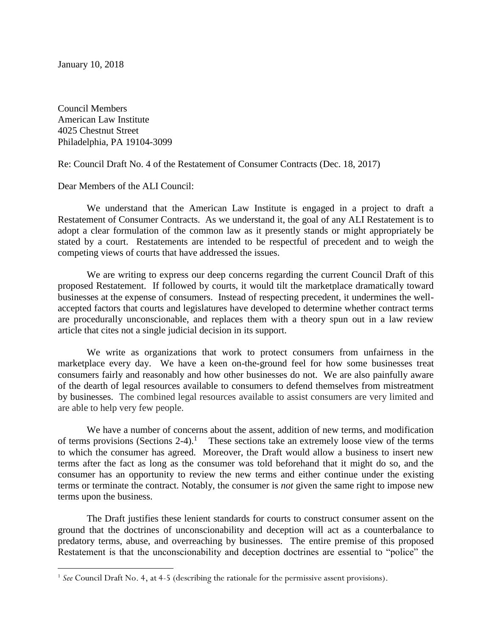January 10, 2018

 $\overline{a}$ 

Council Members American Law Institute 4025 Chestnut Street Philadelphia, PA 19104-3099

Re: Council Draft No. 4 of the Restatement of Consumer Contracts (Dec. 18, 2017)

Dear Members of the ALI Council:

We understand that the American Law Institute is engaged in a project to draft a Restatement of Consumer Contracts. As we understand it, the goal of any ALI Restatement is to adopt a clear formulation of the common law as it presently stands or might appropriately be stated by a court. Restatements are intended to be respectful of precedent and to weigh the competing views of courts that have addressed the issues.

We are writing to express our deep concerns regarding the current Council Draft of this proposed Restatement. If followed by courts, it would tilt the marketplace dramatically toward businesses at the expense of consumers. Instead of respecting precedent, it undermines the wellaccepted factors that courts and legislatures have developed to determine whether contract terms are procedurally unconscionable, and replaces them with a theory spun out in a law review article that cites not a single judicial decision in its support.

We write as organizations that work to protect consumers from unfairness in the marketplace every day. We have a keen on-the-ground feel for how some businesses treat consumers fairly and reasonably and how other businesses do not. We are also painfully aware of the dearth of legal resources available to consumers to defend themselves from mistreatment by businesses. The combined legal resources available to assist consumers are very limited and are able to help very few people.

We have a number of concerns about the assent, addition of new terms, and modification of terms provisions (Sections 2-4).<sup>1</sup> These sections take an extremely loose view of the terms to which the consumer has agreed. Moreover, the Draft would allow a business to insert new terms after the fact as long as the consumer was told beforehand that it might do so, and the consumer has an opportunity to review the new terms and either continue under the existing terms or terminate the contract. Notably, the consumer is *not* given the same right to impose new terms upon the business.

The Draft justifies these lenient standards for courts to construct consumer assent on the ground that the doctrines of unconscionability and deception will act as a counterbalance to predatory terms, abuse, and overreaching by businesses. The entire premise of this proposed Restatement is that the unconscionability and deception doctrines are essential to "police" the

<sup>&</sup>lt;sup>1</sup> See Council Draft No. 4, at 4-5 (describing the rationale for the permissive assent provisions).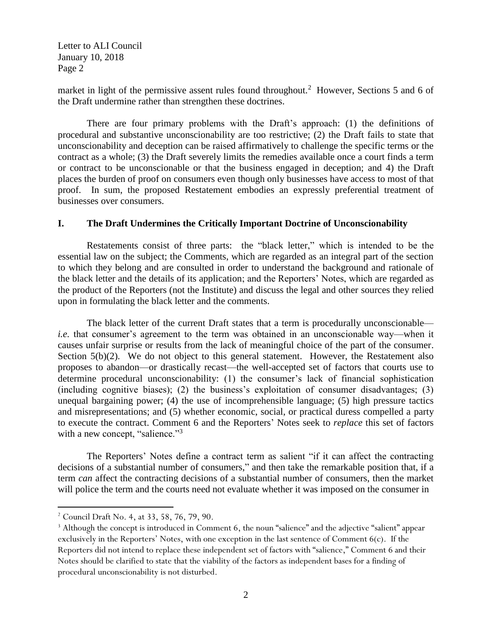market in light of the permissive assent rules found throughout.<sup>2</sup> However, Sections 5 and 6 of the Draft undermine rather than strengthen these doctrines.

There are four primary problems with the Draft's approach: (1) the definitions of procedural and substantive unconscionability are too restrictive; (2) the Draft fails to state that unconscionability and deception can be raised affirmatively to challenge the specific terms or the contract as a whole; (3) the Draft severely limits the remedies available once a court finds a term or contract to be unconscionable or that the business engaged in deception; and 4) the Draft places the burden of proof on consumers even though only businesses have access to most of that proof. In sum, the proposed Restatement embodies an expressly preferential treatment of businesses over consumers.

## **I. The Draft Undermines the Critically Important Doctrine of Unconscionability**

Restatements consist of three parts: the "black letter," which is intended to be the essential law on the subject; the Comments, which are regarded as an integral part of the section to which they belong and are consulted in order to understand the background and rationale of the black letter and the details of its application; and the Reporters' Notes, which are regarded as the product of the Reporters (not the Institute) and discuss the legal and other sources they relied upon in formulating the black letter and the comments.

The black letter of the current Draft states that a term is procedurally unconscionable *i.e.* that consumer's agreement to the term was obtained in an unconscionable way—when it causes unfair surprise or results from the lack of meaningful choice of the part of the consumer. Section 5(b)(2). We do not object to this general statement. However, the Restatement also proposes to abandon—or drastically recast—the well-accepted set of factors that courts use to determine procedural unconscionability: (1) the consumer's lack of financial sophistication (including cognitive biases); (2) the business's exploitation of consumer disadvantages; (3) unequal bargaining power; (4) the use of incomprehensible language; (5) high pressure tactics and misrepresentations; and (5) whether economic, social, or practical duress compelled a party to execute the contract. Comment 6 and the Reporters' Notes seek to *replace* this set of factors with a new concept, "salience."<sup>3</sup>

The Reporters' Notes define a contract term as salient "if it can affect the contracting decisions of a substantial number of consumers," and then take the remarkable position that, if a term *can* affect the contracting decisions of a substantial number of consumers, then the market will police the term and the courts need not evaluate whether it was imposed on the consumer in

 $\overline{a}$ 

<sup>2</sup> Council Draft No. 4, at 33, 58, 76, 79, 90.

<sup>&</sup>lt;sup>3</sup> Although the concept is introduced in Comment 6, the noun "salience" and the adjective "salient" appear exclusively in the Reporters' Notes, with one exception in the last sentence of Comment 6(c). If the Reporters did not intend to replace these independent set of factors with "salience," Comment 6 and their Notes should be clarified to state that the viability of the factors as independent bases for a finding of procedural unconscionability is not disturbed.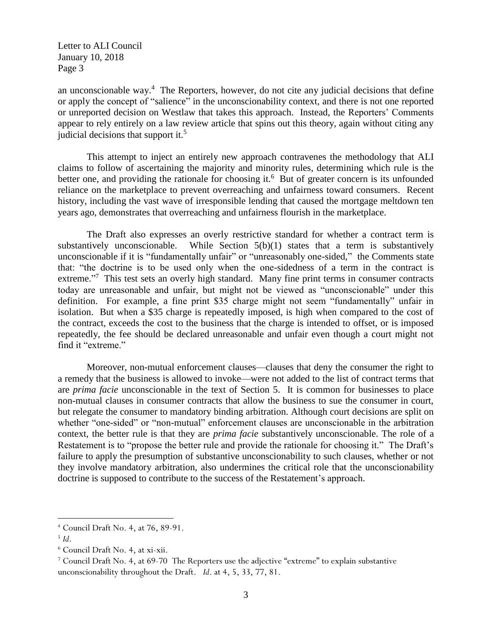an unconscionable way. $4$  The Reporters, however, do not cite any judicial decisions that define or apply the concept of "salience" in the unconscionability context, and there is not one reported or unreported decision on Westlaw that takes this approach. Instead, the Reporters' Comments appear to rely entirely on a law review article that spins out this theory, again without citing any judicial decisions that support it.<sup>5</sup>

This attempt to inject an entirely new approach contravenes the methodology that ALI claims to follow of ascertaining the majority and minority rules, determining which rule is the better one, and providing the rationale for choosing it.<sup>6</sup> But of greater concern is its unfounded reliance on the marketplace to prevent overreaching and unfairness toward consumers. Recent history, including the vast wave of irresponsible lending that caused the mortgage meltdown ten years ago, demonstrates that overreaching and unfairness flourish in the marketplace.

The Draft also expresses an overly restrictive standard for whether a contract term is substantively unconscionable. While Section  $5(b)(1)$  states that a term is substantively unconscionable if it is "fundamentally unfair" or "unreasonably one-sided," the Comments state that: "the doctrine is to be used only when the one-sidedness of a term in the contract is extreme."<sup>7</sup> This test sets an overly high standard. Many fine print terms in consumer contracts today are unreasonable and unfair, but might not be viewed as "unconscionable" under this definition. For example, a fine print \$35 charge might not seem "fundamentally" unfair in isolation. But when a \$35 charge is repeatedly imposed, is high when compared to the cost of the contract, exceeds the cost to the business that the charge is intended to offset, or is imposed repeatedly, the fee should be declared unreasonable and unfair even though a court might not find it "extreme."

Moreover, non-mutual enforcement clauses—clauses that deny the consumer the right to a remedy that the business is allowed to invoke—were not added to the list of contract terms that are *prima facie* unconscionable in the text of Section 5. It is common for businesses to place non-mutual clauses in consumer contracts that allow the business to sue the consumer in court, but relegate the consumer to mandatory binding arbitration. Although court decisions are split on whether "one-sided" or "non-mutual" enforcement clauses are unconscionable in the arbitration context, the better rule is that they are *prima facie* substantively unconscionable. The role of a Restatement is to "propose the better rule and provide the rationale for choosing it." The Draft's failure to apply the presumption of substantive unconscionability to such clauses, whether or not they involve mandatory arbitration, also undermines the critical role that the unconscionability doctrine is supposed to contribute to the success of the Restatement's approach.

 $\overline{a}$ 

<sup>4</sup> Council Draft No. 4, at 76, 89-91.

<sup>5</sup> *Id*.

<sup>6</sup> Council Draft No. 4, at xi-xii.

<sup>7</sup> Council Draft No. 4, at 69-70 The Reporters use the adjective "extreme" to explain substantive unconscionability throughout the Draft. *Id*. at 4, 5, 33, 77, 81.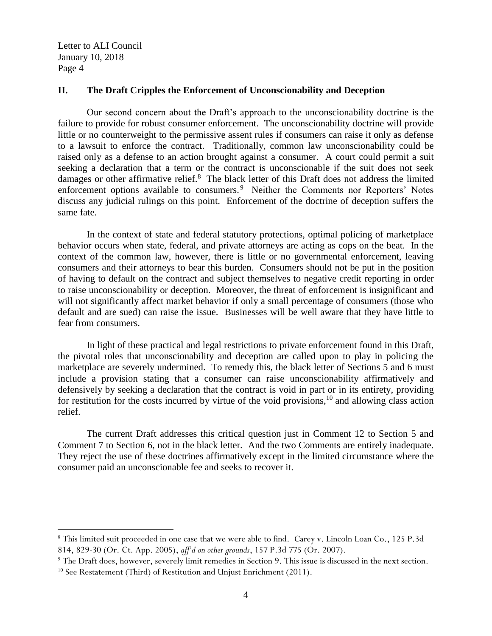$\overline{a}$ 

#### **II. The Draft Cripples the Enforcement of Unconscionability and Deception**

Our second concern about the Draft's approach to the unconscionability doctrine is the failure to provide for robust consumer enforcement. The unconscionability doctrine will provide little or no counterweight to the permissive assent rules if consumers can raise it only as defense to a lawsuit to enforce the contract. Traditionally, common law unconscionability could be raised only as a defense to an action brought against a consumer. A court could permit a suit seeking a declaration that a term or the contract is unconscionable if the suit does not seek damages or other affirmative relief.<sup>8</sup> The black letter of this Draft does not address the limited enforcement options available to consumers.<sup>9</sup> Neither the Comments nor Reporters' Notes discuss any judicial rulings on this point. Enforcement of the doctrine of deception suffers the same fate.

In the context of state and federal statutory protections, optimal policing of marketplace behavior occurs when state, federal, and private attorneys are acting as cops on the beat. In the context of the common law, however, there is little or no governmental enforcement, leaving consumers and their attorneys to bear this burden. Consumers should not be put in the position of having to default on the contract and subject themselves to negative credit reporting in order to raise unconscionability or deception. Moreover, the threat of enforcement is insignificant and will not significantly affect market behavior if only a small percentage of consumers (those who default and are sued) can raise the issue. Businesses will be well aware that they have little to fear from consumers.

In light of these practical and legal restrictions to private enforcement found in this Draft, the pivotal roles that unconscionability and deception are called upon to play in policing the marketplace are severely undermined. To remedy this, the black letter of Sections 5 and 6 must include a provision stating that a consumer can raise unconscionability affirmatively and defensively by seeking a declaration that the contract is void in part or in its entirety, providing for restitution for the costs incurred by virtue of the void provisions,  $10$  and allowing class action relief.

The current Draft addresses this critical question just in Comment 12 to Section 5 and Comment 7 to Section 6, not in the black letter. And the two Comments are entirely inadequate. They reject the use of these doctrines affirmatively except in the limited circumstance where the consumer paid an unconscionable fee and seeks to recover it.

<sup>8</sup> This limited suit proceeded in one case that we were able to find. Carey v. Lincoln Loan Co., 125 P.3d 814, 829-30 (Or. Ct. App. 2005), *aff'd on other grounds*, 157 P.3d 775 (Or. 2007).

<sup>&</sup>lt;sup>9</sup> The Draft does, however, severely limit remedies in Section 9. This issue is discussed in the next section. <sup>10</sup> See Restatement (Third) of Restitution and Unjust Enrichment (2011).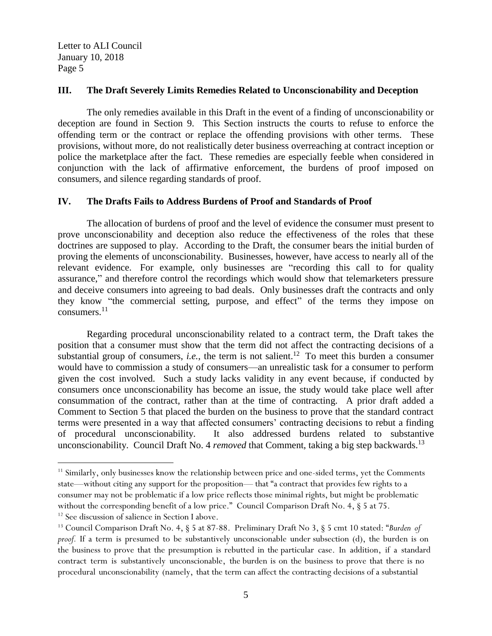#### **III. The Draft Severely Limits Remedies Related to Unconscionability and Deception**

The only remedies available in this Draft in the event of a finding of unconscionability or deception are found in Section 9. This Section instructs the courts to refuse to enforce the offending term or the contract or replace the offending provisions with other terms. These provisions, without more, do not realistically deter business overreaching at contract inception or police the marketplace after the fact. These remedies are especially feeble when considered in conjunction with the lack of affirmative enforcement, the burdens of proof imposed on consumers, and silence regarding standards of proof.

# **IV. The Drafts Fails to Address Burdens of Proof and Standards of Proof**

The allocation of burdens of proof and the level of evidence the consumer must present to prove unconscionability and deception also reduce the effectiveness of the roles that these doctrines are supposed to play. According to the Draft, the consumer bears the initial burden of proving the elements of unconscionability. Businesses, however, have access to nearly all of the relevant evidence. For example, only businesses are "recording this call to for quality assurance," and therefore control the recordings which would show that telemarketers pressure and deceive consumers into agreeing to bad deals. Only businesses draft the contracts and only they know "the commercial setting, purpose, and effect" of the terms they impose on consumers.<sup>11</sup>

Regarding procedural unconscionability related to a contract term, the Draft takes the position that a consumer must show that the term did not affect the contracting decisions of a substantial group of consumers, *i.e.*, the term is not salient.<sup>12</sup> To meet this burden a consumer would have to commission a study of consumers—an unrealistic task for a consumer to perform given the cost involved. Such a study lacks validity in any event because, if conducted by consumers once unconscionability has become an issue, the study would take place well after consummation of the contract, rather than at the time of contracting. A prior draft added a Comment to Section 5 that placed the burden on the business to prove that the standard contract terms were presented in a way that affected consumers' contracting decisions to rebut a finding of procedural unconscionability. It also addressed burdens related to substantive unconscionability. Council Draft No. 4 *removed* that Comment, taking a big step backwards.<sup>13</sup>

 $\overline{a}$ 

<sup>&</sup>lt;sup>11</sup> Similarly, only businesses know the relationship between price and one-sided terms, yet the Comments state—without citing any support for the proposition— that "a contract that provides few rights to a consumer may not be problematic if a low price reflects those minimal rights, but might be problematic without the corresponding benefit of a low price." Council Comparison Draft No. 4,  $\S$  5 at 75.

<sup>&</sup>lt;sup>12</sup> See discussion of salience in Section I above.

<sup>13</sup> Council Comparison Draft No. 4, § 5 at 87-88. Preliminary Draft No 3, § 5 cmt 10 stated: "*Burden of* proof. If a term is presumed to be substantively unconscionable under subsection (d), the burden is on the business to prove that the presumption is rebutted in the particular case. In addition, if a standard contract term is substantively unconscionable, the burden is on the business to prove that there is no procedural unconscionability (namely, that the term can affect the contracting decisions of a substantial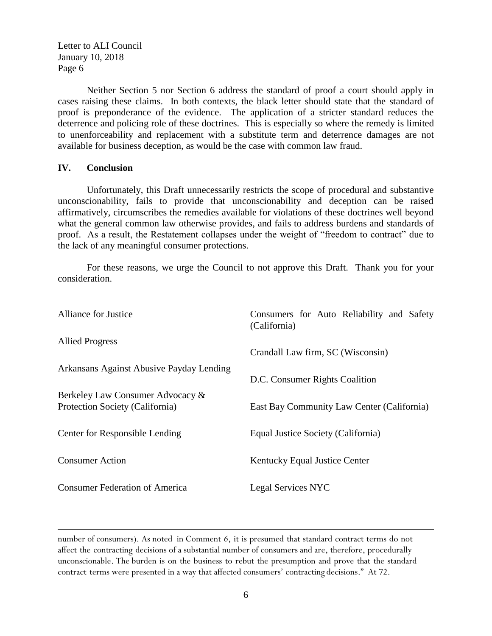Neither Section 5 nor Section 6 address the standard of proof a court should apply in cases raising these claims. In both contexts, the black letter should state that the standard of proof is preponderance of the evidence. The application of a stricter standard reduces the deterrence and policing role of these doctrines. This is especially so where the remedy is limited to unenforceability and replacement with a substitute term and deterrence damages are not available for business deception, as would be the case with common law fraud.

### **IV. Conclusion**

 $\overline{a}$ 

Unfortunately, this Draft unnecessarily restricts the scope of procedural and substantive unconscionability, fails to provide that unconscionability and deception can be raised affirmatively, circumscribes the remedies available for violations of these doctrines well beyond what the general common law otherwise provides, and fails to address burdens and standards of proof. As a result, the Restatement collapses under the weight of "freedom to contract" due to the lack of any meaningful consumer protections.

For these reasons, we urge the Council to not approve this Draft. Thank you for your consideration.

| <b>Alliance for Justice</b>                                         | Consumers for Auto Reliability and Safety<br>(California) |
|---------------------------------------------------------------------|-----------------------------------------------------------|
| <b>Allied Progress</b>                                              | Crandall Law firm, SC (Wisconsin)                         |
| Arkansans Against Abusive Payday Lending                            | D.C. Consumer Rights Coalition                            |
| Berkeley Law Consumer Advocacy &<br>Protection Society (California) | East Bay Community Law Center (California)                |
| Center for Responsible Lending                                      | Equal Justice Society (California)                        |
| <b>Consumer Action</b>                                              | Kentucky Equal Justice Center                             |
| <b>Consumer Federation of America</b>                               | <b>Legal Services NYC</b>                                 |

number of consumers). As noted in Comment *6*, it is presumed that standard contract terms do not affect the contracting decisions of a substantial number of consumers and are, therefore, procedurally unconscionable. The burden is on the business to rebut the presumption and prove that the standard contract terms were presented in a way that affected consumers' contracting decisions." At 72.